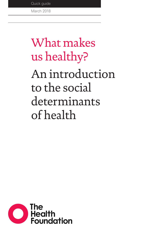Quick guide

March 2018

# What makes us healthy?

An introduction to the social determinants of health

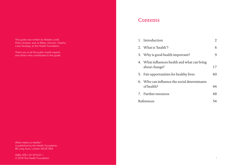This guide was written by Natalie Lovell, Policy Analyst, and Jo Bibby, Director, Healthy Lives Strategy, at the Health Foundation.

Thank you to all the public health experts and others who contributed to this guide.

*What makes us healthy?* is published by the Health Foundation, 90 Long Acre, London WC2E 9RA

ISBN: 978-1-911615-07-1 © 2018 The Health Foundation

### **Contents**

|            |  | 1. Introduction                                               |    |
|------------|--|---------------------------------------------------------------|----|
|            |  | 2 What is 'health'?                                           | 6  |
|            |  | 3. Why is good health important?                              | 9  |
|            |  | 4. What influences health and what can bring<br>about change? | 17 |
|            |  | 5. Fair opportunities for healthy lives                       | 40 |
|            |  | 6. Who can influence the social determinants<br>of health?    | 44 |
|            |  | 7. Further resources                                          | 48 |
| References |  |                                                               | 54 |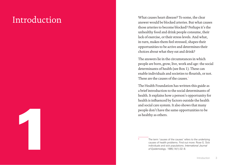## <span id="page-2-0"></span>Introduction

1

What causes heart disease? To some, the clear answer would be blocked arteries. But what causes those arteries to become blocked? Perhaps it's the unhealthy food and drink people consume, their lack of exercise, or their stress levels. And what, in turn, makes them feel stressed, shapes their opportunities to be active and determines their choices about what they eat and drink?

The answers lie in the circumstances in which people are born, grow, live, work and age: the social determinants of health (see Box 1). These can enable individuals and societies to flourish, or not. These are the causes of the causes.<sup>\*</sup>

The Health Foundation has written this guide as a brief introduction to the social determinants of health. It explains how a person's opportunity for health is influenced by factors outside the health and social care system. It also shows that many people don't have the same opportunities to be as healthy as others.

> The term 'causes of the causes' refers to the underlying causes of health problems. Find out more: Rose G. Sick individuals and sick populations. *International Journal of Epidemiology*. 1985;14(1):32–8.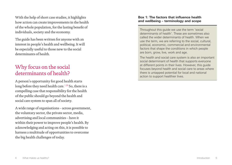With the help of short case studies, it highlights how action can create improvements in the health of the whole population, for the lasting benefit of individuals, society and the economy.

The guide has been written for anyone with an interest in people's health and wellbeing. It will be especially useful to those new to the social determinants of health.

## Why focus on the social determinants of health?

A person's opportunity for good health starts long before they need health care.<sup>[1](#page-28-1)[,28](#page-29-0)</sup> So, there is a compelling case that responsibility for the health of the public should go beyond the health and social care system to span all of society.

A wide range of organisations – across government, the voluntary sector, the private sector, media, advertising and local communities – have it within their power to improve people's health. By acknowledging and acting on this, it is possible to harness a multitude of opportunities to overcome the big health challenges of today.

#### **Box 1: The factors that influence health and wellbeing – terminology and scope**

Throughout this guide we use the term 'social determinants of health'. These are sometimes also called the wider determinants of health. When we use the term, we are referring to the social, cultural, political, economic, commercial and environmental factors that shape the conditions in which people are born, grow, live, work and age.

The health and social care system is also an important social determinant of health that supports everyone at different points in their lives. However, this guide focuses beyond health and social care to areas where there is untapped potential for local and national action to support healthier lives.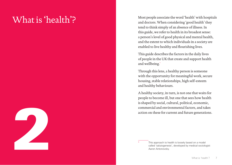## <span id="page-4-0"></span>What is 'health'?



Most people associate the word 'health' with hospitals and doctors. When considering 'good health' they tend to think simply of an absence of illness. In this guide, we refer to health in its broadest sense: a person's level of good physical and mental health, and the extent to which individuals in a society are enabled to live healthy and flourishing lives.

This guide describes the factors in the daily lives of people in the UK that create and support health and wellbeing. \*

Through this lens, a healthy person is someone with the opportunity for meaningful work, secure housing, stable relationships, high self-esteem and healthy behaviours.

A healthy society, in turn, is not one that waits for people to become ill, but one that sees how health is shaped by social, cultural, political, economic, commercial and environmental factors, and takes action on these for current and future generations.

This approach to health is loosely based on a model called 'salutogenesis', developed by medical sociologist Aaron Antonovsky.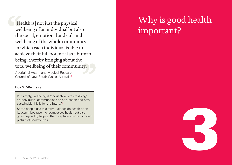<span id="page-5-0"></span>[Health is] not just the physical wellbeing of an individual but also the social, emotional and cultural wellbeing of the whole community, in which each individual is able to achieve their full potential as a human being, thereby bringing about the total wellbeing of their community.

Aboriginal Health and Medical Research Council of New South Wales, Australi[a2](#page-28-2)

#### **Box 2: Wellbeing**

Put simply, wellbeing is 'about "how we are doing" as individuals, communities and as a nation and how sustainable this is for the future.'[3](#page-28-3)

Some people use this term – alongside health or on its own – because it encompasses health but also goes beyond it, helping them capture a more rounded picture of healthy lives.

## Why is good health important?

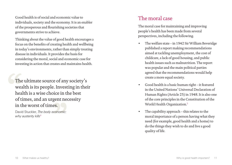Good health is of social and economic value to individuals, society and the economy. It is an enabler of the prosperous and flourishing societies that governments strive to achieve.

Thinking about the value of good health encourages a focus on the benefits of creating health and wellbeing in today's environments, rather than simply treating disease in individuals. It provides the basis for considering the moral, social and economic case for investing in action that creates and maintains health.

The ultimate source of any society's wealth is its people. Investing in their health is a wise choice in the best of times, and an urgent necessity in the worst of times.

David Stuckler, *The body economic: why austerity kills*[4](#page-28-5)

## The moral case

The moral case for maintaining and improving people's health has been made from several perspectives, including the following.

- The welfare state in 1942 Sir William Beveridge published a report making recommendations aimed at tackling unemployment, the cost of childcare, a lack of good housing, and public health issues such as malnutrition. The report was popular and the main political parties agreed that the recommendations would help create a more equal society.
- Good health is a basic human right it featured in the United Nations' Universal Declaration of Human Rights (Article 25) in 1948. It is also one of the core principles in the Constitution of the World Health Organization.[5](#page-28-4)
- The capability approach  $-$  this relates to the moral importance of a person having what they need (for example, good health and a home) to do the things they wish to do and live a good quality of life.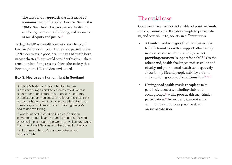The case for this approach was first made by economist and philosopher Amartya Sen in the 1980s. Seen from this perspective, health and wellbeing is a resource for living, and is a matter of social equity and justice.<sup>[6](#page-28-12)</sup>

Today, the UK is a wealthy society. Yet a baby girl born in Richmond upon Thames is expected to live 17.8 more years in good health than a baby girl born in Manchester.[7](#page-28-13) Few would consider this just – there remains a lot of progress to achieve the society that Beveridge, the UN and Sen envisioned.

#### **Box 3: Health as a human right in Scotland**

Scotland's National Action Plan for Human Rights encourages and coordinates efforts across government, local authorities, services, voluntary organisations and businesses to focus more on their human rights responsibilities in everything they do. These responsibilities include improving people's health and wellbeing.

It was launched in 2013 and is a collaboration between the public and voluntary sectors, drawing on experiences around the world, as well as guidance from the United Nations and the Council of Europe.

Find out more: [https://beta.gov.scot/policies/](https://beta.gov.scot/policies/human-rights/) [human-rights](https://beta.gov.scot/policies/human-rights/)

## The social case

Good health is an important enabler of positive family and community life. It enables people to participate in, and contribute to, society in different ways.

- A family member in good health is better able to build foundations that support other family members to thrive. For example, a parent providing emotional support for a child.<sup>[8](#page-28-6)</sup> On the other hand, health challenges such as childhood obesity and poor mental health can negatively affect family life and people's ability to form and maintain good quality relationships.  $9,10,11$  $9,10,11$  $9,10,11$
- Having good health enables people to take part in civic society, including clubs and social groups,<sup>[12](#page-28-10)</sup> while poor health may hinder participation.[13](#page-28-11) In turn, engagement with communities can have a positive effect on social cohesion.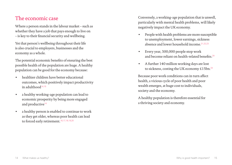## The economic case

Where a person stands in the labour market – such as whether they have a job that pays enough to live on – is key to their financial security and wellbeing.

Yet that person's wellbeing throughout their life is also crucial to employers, businesses and the economy as a whole.

The potential economic benefits of ensuring the best possible health of the population are huge. A healthy population can be good for the economy because:

- healthier children have better educational outcomes, which positively impact productivity in adulthood $14,15$  $14,15$
- a healthy working-age population can lead to economic prosperity by being more engaged and productive<sup>[14](#page-28-14)</sup>
- a healthy person is enabled to continue to work as they get older, whereas poor health can lead to forced early retirement.<sup>[16](#page-28-16)[,17,](#page-29-5)[18](#page-29-6)[,19](#page-29-7),[20](#page-29-8)</sup>

Conversely, a working-age population that is unwell, particularly with mental health problems, will likely negatively impact the UK economy.

- People with health problems are more susceptible to unemployment, lower earnings, sickness absence and lower household income  $21,22,23$  $21,22,23$  $21,22,23$  $21,22,23$
- Every year, 300,000 people stop work and become reliant on health-related benefits.[24](#page-29-4)
- A further 140 million working days are lost to sickness, costing the UK economy £15bn.<sup>[24](#page-29-4)</sup>

Because poor work conditions can in turn affect health, a vicious cycle of poor health and poor wealth emerges, at huge cost to individuals, society and the economy.

A healthy population is therefore essential for a thriving society and economy.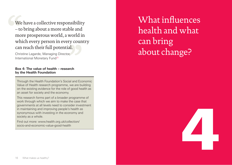<span id="page-9-0"></span>We have a collective responsibility – to bring about a more stable and more prosperous world, a world in which every person in every country can reach their full potential.

Christine Lagarde, Managing Director, International Monetary Fun[d25](#page-29-9)

#### **Box 4: The value of health – research by the Health Foundation**

Through the Health Foundation's Social and Economic Value of Health research programme, we are building on the existing evidence for the role of good health as an asset for society and the economy.

This research forms part of a broader programme of work through which we aim to make the case that governments at all levels need to consider investment in maintaining and improving people's health as synonymous with investing in the economy and society as a whole.

Find out more: [www.health.org.uk/collection/](http://www.health.org.uk/collection/socio-and-economic-value-good-health) [socio-and-economic-value-good-health](http://www.health.org.uk/collection/socio-and-economic-value-good-health)

What influences health and what can bring about change?

4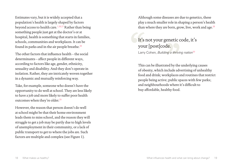Estimates vary, but it is widely accepted that a population's health is largely shaped by factors beyond access to health care.[1,](#page-28-1)[26](#page-29-10)[,27](#page-29-11) Rather than being something people just get at the doctor's or at hospital, health is something that starts in families, schools, communities and workplaces. It can be found in parks and in the air people breathe. $^{28}$  $^{28}$  $^{28}$ 

The other factors that influence health – the social determinants – affect people in different ways, according to factors like age, gender, ethnicity, sexuality and disability. And they don't operate in isolation. Rather, they are intricately woven together in a dynamic and mutually reinforcing way.

Take, for example, someone who doesn't have the opportunity to do well at school. They are less likely to have a job and more likely to suffer poor health outcomes when they're older.<sup>[29](#page-29-12)</sup>

However, the reason that person doesn't do well at school might be that their home environment leads them to miss school, and the reason they will struggle to get a job may be partly due to high levels of unemployment in their community, or a lack of public transport to get to where the jobs are. Such factors are multiple and complex (see Figure 1).

Although some diseases are due to genetics, these play a much smaller role in shaping a person's health than where they are born, grow, live, work and age. $26$ 

### It's not your genetic code, it's your [post]code. Larry Cohen, *Building a thriving nation*[30](#page-29-13)

This can be illustrated by the underlying causes of obesity, which include advertising of unhealthy food and drink; workplaces and routines that restrict people being active; public spaces with few parks; and neighbourhoods where it's difficult to buy affordable, healthy food.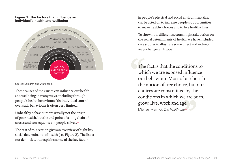#### **Figure 1: The factors that influence an individual's health and wellbeing**



Source: Dahlgren and Whitehead.<sup>31</sup>

These causes of the causes can influence our health and wellbeing in many ways, including through people's health behaviours. Yet individual control over such behaviours is often very limited.

Unhealthy behaviours are usually not the origin of poor health, but the end point of a long chain of causes and consequences in people's lives.[32](#page-29-16)

The rest of this section gives an overview of eight key social determinants of health (see Figure 2). The list is not definitive, but explains some of the key factors

in people's physical and social environment that can be acted on to increase people's opportunities to make healthy choices and to live healthy lives.

To show how different sectors might take action on the social determinants of health, we have included case studies to illustrate some direct and indirect ways change can happen.

The fact is that the conditions to which we are exposed influence our behaviour. Most of us cherish the notion of free choice, but our choices are constrained by the conditions in which we are born, grow, live, work and age. Michael Marmot, *The health gap*[33](#page-29-14)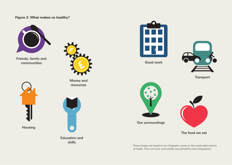### **Figure 2: What makes us healthy?**



Friends, family and communities





Education and skills



Good work



**Transport** 



Our surroundings



The food we eat

These images are based on an infographic series on the social determinants of health. Find out more: [www.health.org.uk/healthy-lives-infographics](http://www.health.org.uk/healthy-lives-infographics)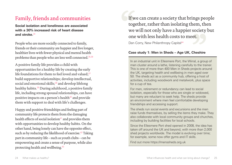## Family, friends and communities

**Social isolation and loneliness are associated with a 30% increased risk of heart disease and stroke.**[34](#page-29-17)

People who are more socially connected to family, friends or their community are happier and live longer, healthier lives with fewer physical and mental health problems than people who are less well connected.[35](#page-29-18),[36](#page-29-19)

A positive family life provides a child with opportunities for a healthy life by creating the early life foundations for them to feel loved and valued: $37$ build supportive relationships; develop intellectual, social and emotional skills; $38$  and develop lifelong healthy habits.[39](#page-29-22) During adulthood, a positive family life, including strong spousal relationships, can have positive impacts on a person's health<sup>[40](#page-29-23)</sup> and provide them with support to deal with life's challenges.

Happy and positive friendships and feeling part of community life protects them from the damaging health effects of social isolation<sup>[41](#page-29-24)</sup> and provides them with opportunities to develop healthy habits. On the other hand, being lonely can have the opposite effect, such as by reducing the likelihood of exercise.<sup>[42](#page-30-1)</sup> Taking part in community life – such as youth clubs – can be empowering and create a sense of purpose, while also protecting health and wellbeing.[43](#page-30-2)

If we can create a society that brings people together, rather than isolating them, then we will not only have a happier society but one with less health costs to meet.

Dan Corry, New Philanthropy Capital<sup>44</sup>

### **Case study 1: Men in Sheds – Age UK, Cheshire**

In an industrial unit in Ellesmere Port, the Wirral, a group of men cluster around a lathe, listening carefully to the trainer. This is one of more than 400 Men in Sheds projects around the UK, targeting health and wellbeing in men aged over 50. The sheds act as a community hub, offering a host of activities, including woodwork and metalwork, plus space for a cup of tea.

For men, retirement or redundancy can lead to social isolation, especially for those who are single or widowed, but many are reluctant to seek help. The sheds provide an environment where men feel comfortable developing friendships and accessing support.

The sheds run social events and excursions and the men raise funds themselves, by selling the items they make. They also collaborate with local community groups and churches, including by building facilities for local schools.

Since the Ellesmere Port shed opened in 2008, the idea has taken off around the UK and beyond, with more than 2,000 shed projects worldwide. The model is evolving over time; for example, some now offer gyms and IT skills.

Find out more [https://menssheds.org.uk](https://menssheds.org.uk/)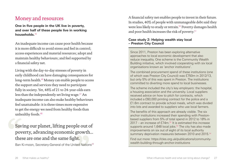## Money and resources

**One in five people in the UK live in poverty, and over half of these people live in working households.**[45](#page-30-8)

An inadequate income can cause poor health because it is more difficult to avoid stress and feel in control; access experiences and material resources; adopt and maintain healthy behaviours; and feel supported by a financial safety net.

Living with the day-to-day stresses of poverty in early childhood can have damaging consequences for long-term health.<sup>[46](#page-30-9)</sup> Money can enable people to access the support and services they need to participate fully in society. Yet, 48% of 21 to 24-year-olds earn less than the independently set living wage.<sup>[47](#page-30-10)</sup> An inadequate income can also make healthy behaviours feel unattainable: it is three times more expensive to get the energy we need from healthy foods than unhealthy foods.<sup>[48](#page-30-11)</sup>

## Saving our planet, lifting people out of poverty, advancing economic growth... these are one and the same fight.

Ban Ki-moon, Secretary-General of the United Nations<sup>49</sup>

A financial safety net enables people to invest in their future. In studies, 40% of people with unmanageable debt said they were less likely to study or retrain.<sup>[50](#page-30-3)</sup> Poverty damages health and poor health increases the risk of poverty. $51$ 

### **Case study 2: Helping wealth stay local – Preston City Council**

Since 2011, Preston has been exploring alternative approaches to local economic development that also reduce inequality. One scheme is the Community Wealth Building initiative, which involved cooperating with six local organisations known as 'anchor institutions'.

The combined procurement spend of these institutions (one of which was Preston City Council) was £750m in 2012/13, but only 5% of this was spent in Preston. The institutions committed to diverting more spend to local businesses.

The scheme included the city's key employers: the hospital, a housing association and the university. Local suppliers received advice on how to pitch for contracts, which included a £60,000 printing contract for the police and a £1.6m contract to provide school meals, which was divided into lots and awarded to suppliers who use local farmers.

The benefits of this approach are already visible. The six anchor institutions increased their spending with Prestonbased suppliers from 5% of total spend in 2012 to 18% in  $2017$  – an increase of  $f74m^{52}$  It is estimated this increase supports around  $1,648$  local jobs.<sup>53</sup> The city has also made improvements on six out of eight of its local authority summary deprivation measures between 2010 and 2015.<sup>54</sup>

Find out more: [https://cles.org.uk/publications/community](https://cles.org.uk/publications/community-wealth-building-through-anchor-institutions)[wealth-building-through-anchor-institutions](https://cles.org.uk/publications/community-wealth-building-through-anchor-institutions)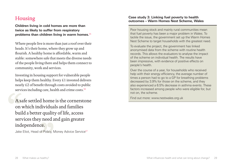## Housing

**Children living in cold homes are more than twice as likely to suffer from respiratory problems than children living in warm homes.**[55](#page-30-13)

Where people live is more than just a roof over their heads. It's their home, where they grow up and flourish. A healthy home is affordable, warm and stable: somewhere safe that meets the diverse needs of the people living there and helps them connect to community, work and services.

Investing in housing support for vulnerable people helps keep them healthy. Every £1 invested delivers nearly £2 of benefit through costs avoided to public services including care, health and crime costs.<sup>[56](#page-30-14)</sup>

A safe settled home is the cornerstone on which individuals and families build a better quality of life, access services they need and gain greater independence.

Jake Eliot, Head of Policy, Money Advice Service<sup>[57](#page-30-15)</sup>

#### **Case study 3: Linking fuel poverty to health outcomes – Warm Homes Nest Scheme, Wales**

Poor housing stock and mainly rural communities mean that fuel poverty has been a major problem in Wales. To tackle the issue, the government set up the Warm Homes Nest Scheme to target households with the greatest need.

To evaluate the project, the government has linked anonymised data from the scheme with routine health records. This allows the evaluators to analyse the impact of the scheme on individual health. The results have been impressive, with evidence of positive effects on people's health.

Over the course of a year, for households who received help with their energy efficiency, the average number of times a person had to go to a GP for breathing problems decreased by 3.9% for those on the scheme, and they also experienced a 6.5% decrease in asthma events. These factors increased among people who were eligible for, but not on, the scheme.

Find out more: [www.nestwales.org.uk](https://www.nestwales.org.uk
)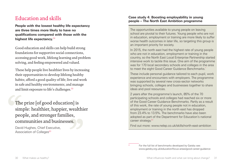## Education and skills

**People with the lowest healthy life expectancy are three times more likely to have no qualifications compared with those with the highest life expectancy.**[58](#page-30-17)

Good education and skills can help build strong foundations for supportive social connections, accessing good work, lifelong learning and problem solving, and feeling empowered and valued.

These help people live healthier lives by increasing their opportunities to develop lifelong healthy habits; afford a good quality of life; live and work in safe and healthy environments; and manage and limit exposure to life's challenges.<sup>[59](#page-30-18)</sup>

The prize [of good education] is simple: healthier, happier, wealthier people, and stronger families, communities and businesses.

David Hughes, Chief Executive, Association of Colleges<sup>[60](#page-30-19)</sup>

#### **Case study 4: Boosting employability in young people – The North East Ambition programme**

The opportunities available to young people on leaving school are pivotal to their futures. Young people who are not in education, employment or training are more likely to suffer worse health outcomes in later life, so targeting this group is an important priority for society.

In 2015, the north east had the highest rate of young people who are not in education, employment or training in the country, so the North East Local Enterprise Partnership started intensive work to tackle this issue. One aim of the programme was for 170 local secondary schools and colleges in the area to meet the eight Good Career Guidance Benchmarks.\*

These include personal guidance tailored to each pupil, work experience and encounters with employers. The programme was supported by several new cross-sector networks bringing schools, colleges and businesses together to share ideas and pool resources.

2 years after the programme's launch, 85% of the 70 participating schools and colleges had reached six or more of the Good Career Guidance Benchmarks. Partly as a result of this work, the rate of young people not in education, employment or training in the north east has dropped from 23.4% to 13.5%. The benchmarks have also been adopted as part of the Department for Education's national career strategy.<sup>61</sup>

Find out more: [www.nelep.co.uk/skills/north-east-ambition](https://www.nelep.co.uk/skills/north-east-ambition/)

For the full list of benchmarks developed by Gatsby see: [www.gatsby.org.uk/education/focus-areas/good-career-guidance](http://www.gatsby.org.uk/education/focus-areas/good-career-guidance)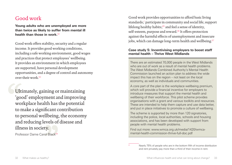## Good work

**Young adults who are unemployed are more than twice as likely to suffer from mental ill health than those in work**  $62$ 

Good work offers stability, security and a regular income. It provides good working conditions, including a safe working environment, good wages and practices that protect employees' wellbeing. It provides an environment in which employees are supported, have personal development opportunities, and a degree of control and autonomy over their work.[63](#page-30-21)

Ultimately, gaining or maintaining 'good' employment and improving workplace health has the potential to make a significant contribution to personal wellbeing, the economy and reducing levels of disease and illness in society.

Professor Dame Carol Black<sup>[64](#page-31-3)</sup>

Good work provides opportunities to afford basic living standards;\* participate in community and social life; support lifelong healthy habits; $65$  and feel a sense of identity, self-esteem, purpose and reward.<sup>[66](#page-31-1)</sup> It offers protection against the harmful effects of unemployment and insecure jobs, which can damage long-term health and wellbeing.<sup>[67](#page-31-2)</sup>

### **Case study 5: Incentivising employers to boost staff mental health – Thrive West Midlands**

There are an estimated 70,000 people in the West Midlands who are out of work as a result of mental health problems. The West Midlands Combined Authority's Mental Health Commission launched an action plan to address the wide impact this has on the region – not least on the local economy, as well as individuals and communities.

A core part of the plan is the workplace wellbeing premium, which will provide a financial incentive for employers to introduce measures that support the mental health and wellbeing of their workforce. This pilot scheme provides organisations with a grant and various toolkits and resources. These are intended to help them capture and use data better, and put in place initiatives to promote a culture of wellbeing.

The scheme is supported by more than 120 signatories, including the police, local authorities, schools and housing associations, and has been developed with support from people with mental health problems.

Find out more: [www.wmca.org.uk/media/1420/wmca](http://www.wmca.org.uk/media/1420/wmca-mental-health-commission-thrive-full-doc.pdf)[mental-health-commission-thrive-full-doc.pdf](http://www.wmca.org.uk/media/1420/wmca-mental-health-commission-thrive-full-doc.pdf)

Nearly 75% of people who are in the bottom fifth of income distribution and rent privately pay more than a third of their income in rent.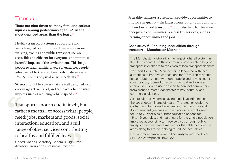## Transport

**There are nine times as many fatal and serious injuries among pedestrians aged 5–9 in the most deprived areas than the least.**[68](#page-31-5)

Healthy transport systems support safe and well-designed communities. They enable more walking, cycling and public transport use, are accessible and efficient for everyone, and minimise harmful impacts of the environment. This helps people to lead healthier lives. For example, people who use public transport are likely to do an extra 12–15 minutes physical activity each day.<sup>[69](#page-31-6)</sup>

Streets and public spaces that are well designed also encourage active travel, and can have other positive impacts such as reducing vehicle speeds.<sup>[70](#page-31-7)</sup>

Transport is not an end in itself, but rather a means... to access what [people] need: jobs, markets and goods, social interaction, education, and a full range of other services contributing to healthy and fulfilled lives.

United Nations Secretary-General's High-Level Advisory Group on Sustainable Transport<sup>[71](#page-31-8)</sup>

A healthy transport system can provide opportunities to improve air quality – the largest contributor to air pollution in London is road transport.<sup>[72](#page-31-4)</sup> It can also help hard-to-reach or deprived communities to access key services, such as learning opportunities and jobs.

#### **Case study 6: Reducing inequalities through transport – Manchester Metrolink**

The Manchester Metrolink is the largest light rail system in the UK. Its benefits to the community have reached beyond transport links, thanks to the vision of local transport planners.

Transport for Greater Manchester collaborated with local authorities to improve connections for 2.7 million residents. Its contribution, along with other public and private sector collaboration, focused on a common goal and long-term economic vision: to use transport to connect commuters from around Greater Manchester to key industrial and commercial districts.

As a result, the system is having a positive influence on the social determinants of health. The latest extension to Oldham and Rochdale town centres, East Didsbury and Ashton-under-Lyne has improved access to employment for 16 to 70-year-olds, further education options for 16 to 19-year-olds, and health care for the whole population. Improved accessibility to these services through public transport has been more marked for the 10% most deprived areas along this route, helping to reduce inequalities.

Find out more: [www.volkerrail.co.uk/dynamics/modules/](http://www.volkerrail.co.uk/dynamics/modules/SFIL0200/view.php?fil_Id=8932) [SFIL0200/view.php?fil\\_Id=8932](http://www.volkerrail.co.uk/dynamics/modules/SFIL0200/view.php?fil_Id=8932)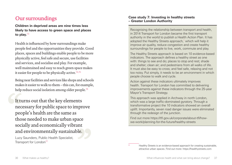## Our surroundings

**Children in deprived areas are nine times less likely to have access to green space and places to play.**[73](#page-31-9)

Health is influenced by how surroundings make people feel and the opportunities they provide. Good places, spaces and buildings enable people to be more physically active, feel safe and secure, use facilities and services, and socialise and play. For example, well maintained and easy to reach green space makes it easier for people to be physically active.<sup>[74,](#page-31-10)[75](#page-31-11)</sup>

Being near facilities and services like shops and schools makes it easier to walk to them – this can, for example, help reduce social isolation among older people.<sup>[76](#page-31-12)</sup>

It turns out that the key elements necessary for public space to improve people's health are the same as those needed to make urban space socially and economically vibrant and environmentally sustainable.

Lucy Saunders, Public Health Specialist, Transport for London<sup>[77](#page-31-13)</sup>

#### **Case study 7: Investing in healthy streets – Greater London Authority**

Recognising the relationship between transport and health, in 2014 Transport for London became the first transport authority in the world to publish a Health Action Plan. It has adopted the Healthy Streets approach,\* which will help it improve air quality, reduce congestion and create healthy surroundings for people to live, work, commute and play.

The Healthy Streets approach is based on 10 evidence-based indicators. The approach defines a healthy street as one with: things to see and do; places to stop and rest; shade and shelter; clean air; and pedestrians from all walks of life. It must also be easy to cross; and feel safe, relaxing and not too noisy. Put simply, it needs to be an environment in which people choose to walk and cycle.

Action against these indicators ultimately improves health. Transport for London has committed to delivering improvements against these indicators through the 25-year Mayor's Transport Strategy.

This approach was applied in Archway in north London, which was a large traffic-dominated gyratory. Through a transformative project the 10 indicators showed an overall uplift. Importantly, seven road danger issues were eliminated through the redesign of the junction.

Find out more [https://tfl.gov.uk/corporate/about-tfl/how](https://tfl.gov.uk/corporate/about-tfl/how-we-work/planning-for-the-future/healthy-streets)[we-work/planning-for-the-future/healthy-streets](https://tfl.gov.uk/corporate/about-tfl/how-we-work/planning-for-the-future/healthy-streets)

[Healthy](https://healthystreets.com/home/lucysaunders/) Streets is an evidence-based approach for creating sustainable, attractive urban spaces. Find out more:<https://healthystreets.com>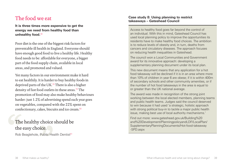## The food we eat

**It is three times more expensive to get the energy we need from healthy food than unhealthy food.**[48](#page-30-11)

Poor diet is the one of the biggest risk factors for preventable ill health in England. Everyone should have enough good food to live a healthy life. Healthy food needs to be: affordable for everyone, a bigger part of the food supply chain, available in local areas, and promoted and valued.

Yet many factors in our environment make it hard to eat healthily. It is harder to buy healthy foods in deprived parts of the UK.<sup>[78](#page-31-14)</sup> There is also a higher density of fast food outlets in these areas.<sup>[79](#page-31-15)</sup> The promotion of food may also make healthy behaviours harder: just 1.2% of advertising spend each year goes on vegetables, compared with the 22% spent on confectionary, cakes, biscuits and ice cream.[80](#page-31-16)

## The healthy choice should be the easy choice.

Rob Beaglehole, Public Health Dentist<sup>81</sup>

#### **Case study 8: Using planning to restrict takeaways – Gateshead Council**

Access to healthy food goes far beyond the control of an individual. With this in mind, Gateshead Council has used local planning policy to improve the opportunities its residents have to make healthy food choices. The ambition is to reduce levels of obesity and, in turn, deaths from cancers and circulatory diseases. The approach focuses on reducing health inequalities in Gateshead.

The council won a Local Communities and Government award for its innovative approach: developing a supplementary planning document under its local plan.

This new document means that any application for a hot food takeaway will be declined if it is in an area where more than 10% of children in year 6 are obese; if it is within 400m of secondary schools and other community amenities, or if the number of hot food takeaways in the area is equal to or greater than the UK national average.

The award was made in recognition of the strong joint working between the local elected members, planning teams and public health teams. Judges said the council deserved to win because it had used 'a strategic, holistic approach with strong political buy-in to tackle a major public health issue, making best use of local authority mechanisms.'

Find out more: [www.gateshead.gov.uk/Building%20](http://www.gateshead.gov.uk/Building%20and%20Development/PlanningpolicyandLDF/LocalPlan/SupplementaryPlanningDocuments/Hot-food-takeaway-SPD.aspx) [and%20Development/PlanningpolicyandLDF/LocalPlan/](http://www.gateshead.gov.uk/Building%20and%20Development/PlanningpolicyandLDF/LocalPlan/SupplementaryPlanningDocuments/Hot-food-takeaway-SPD.aspx) [SupplementaryPlanningDocuments/Hot-food-takeaway](http://www.gateshead.gov.uk/Building%20and%20Development/PlanningpolicyandLDF/LocalPlan/SupplementaryPlanningDocuments/Hot-food-takeaway-SPD.aspx) [-SPD.aspx](http://www.gateshead.gov.uk/Building%20and%20Development/PlanningpolicyandLDF/LocalPlan/SupplementaryPlanningDocuments/Hot-food-takeaway-SPD.aspx)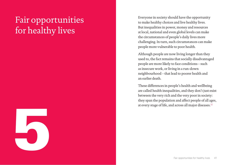## <span id="page-21-0"></span>Fair opportunities for healthy lives



Everyone in society should have the opportunity to make healthy choices and live healthy lives. But inequalities in power, money and resources at local, national and even global levels can make the circumstances of people's daily lives more challenging. In turn, such circumstances can make people more vulnerable to poor health.

Although people are now living longer than they used to, the fact remains that socially disadvantaged people are more likely to face conditions – such as insecure work, or living in a run-down neighbourhood – that lead to poorer health and an earlier death.

These differences in people's health and wellbeing are called health inequalities, and they don't just exist between the very rich and the very poor in society: they span the population and affect people of all ages, at every stage of life, and across all major diseases.<sup>[32](#page-29-16)</sup>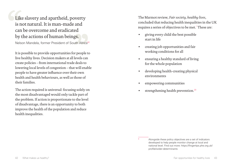Like slavery and apartheid, poverty is not natural. It is man-made and can be overcome and eradicated by the actions of human beings.

Nelson Mandela, former President of South Africa<sup>82</sup>

It is possible to provide opportunities for people to live healthy lives. Decision makers at all levels can create policies – from international trade deals to lowering local levels of congestion – that will enable people to have greater influence over their own health and health behaviours, as well as those of their families.

The action required is universal: focusing solely on the most disadvantaged would only tackle part of the problem. If action is proportionate to the level of disadvantage, there is an opportunity to both improve the health of the population and reduce health inequalities.

The Marmot review, *Fair society, healthy lives*, concluded that reducing health inequalities in the UK requires a series of objectives to be met.\* These are:

- giving every child the best possible start in life
- creating job opportunities and fair working conditions for all
- ensuring a healthy standard of living for the whole population
- developing health-creating physical environments
- empowering communities
- strengthening health prevention. $29$

Alongside these policy objectives are a set of indicators developed to help people monitor change at local and national level. Find out more: [https://fingertips.phe.org.uk/](https://fingertips.phe.org.uk/profile/wider-determinants) [profile/wider-determinants](https://fingertips.phe.org.uk/profile/wider-determinants)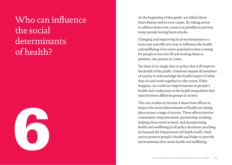## <span id="page-23-0"></span>Who can influence the social determinants of health?



At the beginning of this guide, we talked about heart disease and its root causes. By taking action to address these root causes it is possible to prevent many people having heart attacks.

Changing and improving local environments is a more just and effective way to influence the health and wellbeing of an entire population than waiting for people to become ill and treating them as patients, one person at a time.

Yet there is no single idea or policy that will improve the health of the public. Solutions require all members of society to acknowledge the health impact of what they do and work together to take action. If this happens, we could see improvements in people's health and a reduction in the health inequalities that exist between different groups in society.

The case studies in Section 4 show how efforts to impact the social determinants of health are taking place across a range of sectors. These efforts involve community empowerment, partnership working, helping those most in need, and incorporating health and wellbeing in all policy decisions (reaching far beyond the Department of Health itself). Such action protects people's health and helps to provide environments that create health and wellbeing.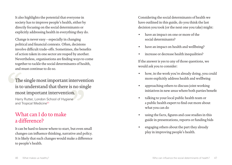It also highlights the potential that everyone in society has to improve people's health, either by directly focusing on the social determinants or explicitly addressing health in everything they do.

Change is never easy – especially in changing political and financial contexts. Often, decisions involve difficult trade-offs. Sometimes, the benefits of action taken in one sector are reaped by another. Nevertheless, organisations are finding ways to come together to tackle the social determinants of health, and must continue to do so.

## The single most important intervention is to understand that there is no single most important intervention.

Harry Rutter, London School of Hygiene and Tropical Medicine<sup>83</sup>

## What can I do to make a difference?

It can be hard to know where to start, but even small changes can influence thinking, narrative and policy. It is likely that such changes would make a difference to people's health.

Considering the social determinants of health we have outlined in this guide, do you think the last decision you took (or the next one you take) might:

- have an impact on one or more of the social determinants?
- have an impact on health and wellbeing?
- increase or decrease health inequalities?

If the answer is yes to any of those questions, we would ask you to consider:

- how, in the work you're already doing, you could more explicitly address health and wellbeing
- approaching others to discuss joint working initiatives in new areas where both parties benefit
- talking to your local public health team or a public health expert to find out more about what you can do
- using the facts, figures and case studies in this guide in presentations, reports or funding bids
- engaging others about the part they already play in improving people's health.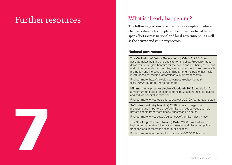## <span id="page-25-0"></span>Further resources



The following section provides more examples of where change is already taking place. The initiatives listed here span efforts across national and local government – as well as the private and voluntary sectors.

What is already happening?

#### **National government**

The Wellbeing of Future Generations (Wales) Act 2015: An act that makes health a prerequisite for all policy. Proposals must demonstrate tangible benefits for the health and wellbeing of current and future generations. This integrated approach will maximise health promotion and increase understanding among the public that health is influenced by multiple determinants in different sectors.

Find out more: [http://thewaleswewant.co.uk/sites/default/](http://thewaleswewant.co.uk/sites/default/files/150623-guide-to-the-fg-act-en.pdf) [files/150623-guide-to-the-fg-act-en.pdf](http://thewaleswewant.co.uk/sites/default/files/150623-guide-to-the-fg-act-en.pdf)

Minimum unit price for alcohol (Scotland) 2018: Legislation for a minimum unit price for alcohol, to help cut alcohol-related deaths and reduce hospital admissions.

Find out more: [www.legislation.gov.uk/asp/2012/4/contents/enacted](http://www.legislation.gov.uk/asp/2012/4/contents/enacted)

Soft drinks industry levy (UK) 2018: A levy to target the producers and importers of soft drinks with added sugar, to help protect people from tooth decay, obesity and diabetes.

Find out more: [www.gov.uk/guidance/soft-drinks-industry-levy](http://www.gov.uk/guidance/soft-drinks-industry-levy)

The Smoking (Northern Ireland) Order 2006: Smoke-free legislation that makes it illegal to smoke in workplaces, on public transport and in many enclosed public spaces.

Find out more: [www.legislation.gov.uk/nisi/2006/2957/contents](http://www.legislation.gov.uk/nisi/2006/2957/contents)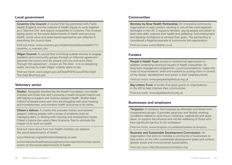#### **Local government**

Coventry City Council: A council that has partnered with Public Health England and the Institute of Health Equity to work together as a 'Marmot City' and reduce inequalities in Coventry. This involves taking action on the social determinants of health and ensuring health, social value and asset-based approaches are reflected in everything the council does.

Find out more: [www.coventry.gov.uk/downloads/download/4171/](http://www.coventry.gov.uk/downloads/download/4171/coventry_a_marmot_city) [coventry\\_a\\_marmot\\_city](http://www.coventry.gov.uk/downloads/download/4171/coventry_a_marmot_city)

Wigan Council: A council that is thinking outside the box to engage residents and community groups through an informal agreement between the council and the people who live and work there. Through this agreement – known as The Deal – it is co-designing public services to make Wigan a better place to live.

Find out more: [www.wigan.gov.uk/Docs/PDF/Council/The-Deal/](http://www.wigan.gov.uk/Docs/PDF/Council/The-Deal/
The-Deal-Brochure.pdf) [The-Deal-Brochure.pdf](http://www.wigan.gov.uk/Docs/PDF/Council/The-Deal/
The-Deal-Brochure.pdf)

#### **Voluntary sector**

Shelter: Alongside charities like the Health Foundation, non-health charities and those that aren't pursuing a health-focused mission are still helping to support and improve people's health. Shelter helps millions of people every year who are struggling with poor housing and homelessness, and monitors health outcomes of its clients.

Citizen's Advice: A charity that provides holistic and tailored support, helping people with a range of problems such as managing debt, or dealing with housing and employment issues. Citizen's Advice has used a New Economy Tool to estimate the impact of its work on health.

Find out more about how non-health charities can address the social determinants of health:

[www.thinknpc.org/publications/keeping-us-well](http://www.thinknpc.org/publications/keeping-us-well)

[www.instituteofhealthequity.org/resources-reports/voluntary-sector](http://www.instituteofhealthequity.org/resources-reports/voluntary-sector-action-on-the-social-determinants-of-health)[action-on-the-social-determinants-of-health](http://www.instituteofhealthequity.org/resources-reports/voluntary-sector-action-on-the-social-determinants-of-health)

#### **Communities**

Bromley by Bow Health Partnership: An innovative community organisation in east London, working in one of the most deprived boroughs in the UK. It supports families, young people and adults to learn new skills, improve their health and wellbeing, find employment and develop confidence to achieve their goals. The partnership is considered a flagship example of community led regeneration.

Find out more: [www.bbbhp.co.uk](http://www.bbbhp.co.uk)

#### **Funders**

People's Health Trust: Invests in resident-led approaches to address underlying structural causes of health inequalities. Its long-term engagement programme, Local Conversations, makes the most of local residents' skills and wisdom by putting them in control of the design, development and action in their neighbourhood.

Find out more: [www.peopleshealthtrust.org.uk](http://www.peopleshealthtrust.org.uk)

Big Lottery Fund: A funder that gives grants to organisations in the UK to help improve their communities.

Find out more: [www.biglotteryfund.org.uk](http://www.biglotteryfund.org.uk)

#### **Businesses and employers**

**Timpsons:** A company that employs ex-offenders and those from marginalised groups. It provides good pay and flexible working conditions related to work hours, childcare, sabbaticals and study leave, to support the physical and mental wellbeing of those who face significant barriers to the workplace.

Find out more: [www.timpson.co.uk/about/careers-at-timpson](http://www.timpson.co.uk/about/careers-at-timpson)

Business and Sustainable Development Commission: An organisation that aims to mobilise a community of businesses to take action on the UN's sustainable development goals and achieve greater social and environmental sustainability.

Find out more:<http://businesscommission.org>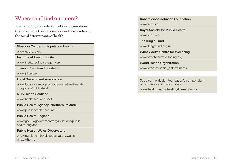## Where can I find out more?

The following are a selection of key organisations that provide further information and case studies on the social determinants of health.

Glasgow Centre for Population Health

[www.gcph.co.uk](http://www.gcph.co.uk/)

Institute of Health Equity

[www.instituteofhealthequity.org](http://www.instituteofhealthequity.org/)

Joseph Rowntree Foundation

[www.jrf.org.uk](https://www.jrf.org.uk/)

Local Government Association

[www.local.gov.uk/topics/social-care-health-and](https://www.local.gov.uk/topics/social-care-health-and-integration/public-health)[integration/public-health](https://www.local.gov.uk/topics/social-care-health-and-integration/public-health)

NHS Health Scotland

[www.healthscotland.scot](http://www.healthscotland.scot)

Public Health Agency (Northern Ireland)

[www.publichealth.hscni.net](http://www.publichealth.hscni.net)

### Public Health England

[www.gov.uk/government/organisations/public](https://www.gov.uk/government/organisations/public-health-england)[health-england](https://www.gov.uk/government/organisations/public-health-england)

### Public Health Wales Observatory

[www.publichealthwalesobservatory.wales.](http://www.publichealthwalesobservatory.wales.nhs.uk/home) [nhs.uk/home](http://www.publichealthwalesobservatory.wales.nhs.uk/home)

Robert Wood Johnson Foundation

[www.rwjf.org](https://www.rwjf.org/)

Royal Society for Public Health

[www.rsph.org.uk](http://www.rsph.org.uk)

The King's Fund

[www.kingsfund.org.uk](https://www.kingsfund.org.uk/)

What Works Centre for Wellbeing

[www.whatworkswellbeing.org](https://www.whatworkswellbeing.org/)

World Health Organization [www.who.int/social\\_determinants](http://www.who.int/social_determinants/en)

See also the Health Foundation's compendium of resources and case studies:

[www.health.org.uk/healthy-lives-collection](http://www.health.org.uk/healthy-lives-collection)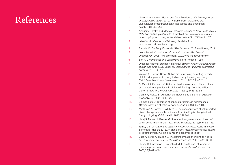## <span id="page-28-0"></span>References

- <span id="page-28-1"></span>1. National Institute for Health and Care Excellence. *Health inequalities and population health*. 2012. Available from: [www.nice.org.](http://www.nice.org.uk/advice/lgb4/resources/health-inequalities-and-population-health-1681147764421
) [uk/advice/lgb4/resources/health-inequalities-and-population](http://www.nice.org.uk/advice/lgb4/resources/health-inequalities-and-population-health-1681147764421
)[health-1681147764421](http://www.nice.org.uk/advice/lgb4/resources/health-inequalities-and-population-health-1681147764421
)
- <span id="page-28-2"></span>2. Aboriginal Health and Medical Research Council of New South Wales. *Definition of Aboriginal Health*. Available from: [www.ahmrc.org.au/](http://www.ahmrc.org.au/index.php?option=com_content&view=article&id=35&itemid=37) [index.php?option=com\\_content&view=article&id=35&itemid=37](http://www.ahmrc.org.au/index.php?option=com_content&view=article&id=35&itemid=37)
- <span id="page-28-3"></span>3. What Works Centre for Wellbeing. Available from: [www.whatworkswellbeing.org](https://www.whatworkswellbeing.org/)
- <span id="page-28-5"></span>4. Stuckler D. *The Body Economic: Why Austerity Kills*. Basic Books; 2013.
- <span id="page-28-4"></span>5. World Health Organization. *Constitution of the World Health Organization*. 2006. Available from: [www.who.int/about/mission](http://www.who.int/about/mission)
- <span id="page-28-12"></span>6. Sen A. *Commodities and Capabilities*. North-Holland; 1985.
- <span id="page-28-13"></span>7. Office for National Statistics. *Statistical bulletin: healthy life expectancy at birth and aged 65 by upper tier local authority and area deprivation: England 2012–14*. 2016.
- <span id="page-28-6"></span>8. Waylen A, Stewart-Brown S. Factors influencing parenting in early childhood: a prospective longitudinal study focusing on change. *Child: Care, Health and Development*. 2010;36(2):198–207.
- <span id="page-28-7"></span>9. Griffiths LJ, Dezateux C, Hill A. Is obesity associated with emotional and behavioural problems in children? Findings from the Millennium Cohort Study. *Int J Pediatr Obes*. 2011;6(2-2):E423–E32 a.
- <span id="page-28-8"></span>10. Clarke H, McKay S. Disability, partnership and parenting. *Disability & Society*. 2014;29(4):543–55.
- <span id="page-28-9"></span>11. Colman I et al. Outcomes of conduct problems in adolescence: 40 year follow-up of national cohort. *BMJ*. 2009;338:a2981.
- <span id="page-28-10"></span>12. Matthews K, Nazroo J, Whillans J. The consequences of self-reported vision change in later-life: evidence from the English Longitudinal Study of Ageing. *Public Health*. 2017;142:7–14.
- <span id="page-28-11"></span>13. Jivraj S, Nazroo J, Barnes M. Short- and long-term determinants of social detachment in later life. *Ageing & Society*. 2016;36(5):924–45.
- <span id="page-28-14"></span>14. Yamey G et al. *Investing in health: the economic case*. World Innovation Summit for Health; 2016. Available from: [http://globalhealth2035.org/](http://globalhealth2035.org/sites/default/files/investing-in-health-economic-case.pdf) [sites/default/files/investing-in-health-economic-case.pdf](http://globalhealth2035.org/sites/default/files/investing-in-health-economic-case.pdf)
- <span id="page-28-15"></span>15. Case A, Fertig A, Paxson C. The lasting impact of childhood health and circumstance. *Journal of Health Economics*. 2005;24(2):365–89.
- <span id="page-28-16"></span>16. Disney R, Emmerson C, Wakefield M. Ill health and retirement in Britain: a panel data-based analysis. J*ournal of Health Economics*. 2006;25(4):621–49.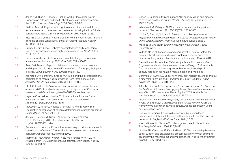- <span id="page-29-5"></span>17. Jones AM, Rice N, Roberts J. Sick of work or too sick to work? Evidence on self-reported health shocks and early retirement from the BHPS. *Economic Modelling*. 2010;27(4):866–80.
- <span id="page-29-6"></span>18. Stafford M et al. Physical and cognitive capability in mid-adulthood as determinants of retirement and extended working life in a British cohort study. *Scand J Work Environ Health*. 2017;43(1):15–23.
- <span id="page-29-7"></span>19. Rice NE et al. Common health predictors of early retirement: findings from the English Longitudinal Study of Ageing. *Age and Ageing*. 2011;40(1):54–61.
- <span id="page-29-8"></span>20. Rumball-Smith J et al. Diabetes associated with early labor-force exit: a comparison of sixteen high-income countries. *Health Affairs*. 2014;33(1):110-5.
- <span id="page-29-1"></span>21. Henderson M et al. A lifecourse approach to long-term sickness absence – a cohort study. *PLOS One*. 2012;7(5):e36645.
- <span id="page-29-2"></span>22. Stansfeld SA et al. Psychosocial work characteristics and anxiety and depressive disorders in midlife: the effects of prior psychological distress. *Occup Environ Med*. 2008;65(9):634–42.
- <span id="page-29-3"></span>23. Johnston DW, Schurer S, Shields MA. Exploring the intergenerational persistence of mental health: evidence from three generations. *Journal of Health Economics*. 2013;32(6):1077–89.
- <span id="page-29-4"></span>24. Black C, Frost D. *Health at work – an independent review of sickness absence*. 2011. Available from: [www.gov.uk/government/uploads/](http://www.gov.uk/government/uploads/system/uploads/attachment_data/file/181060/health-at-work.pdf ) [system/uploads/attachment\\_data/file/181060/health-at-work.pdf](http://www.gov.uk/government/uploads/system/uploads/attachment_data/file/181060/health-at-work.pdf )
- <span id="page-29-9"></span>25. Lagarde C. An address to the 2011 International Finance Forum. 9 November 2011. Available from: [www.imf.org/en/News/](http://www.imf.org/en/News/Articles/2015/09/28/04/53/sp110911) [Articles/2015/09/28/04/53/sp110911](http://www.imf.org/en/News/Articles/2015/09/28/04/53/sp110911)
- <span id="page-29-10"></span>26. McGovern L, Miller G, Hughes-Cromwick P. Health Policy Brief: The relative contribution of multiple determinants to health outcomes. *Health Affairs*. 21 August 2014.
- <span id="page-29-11"></span>27. James C, Devaux M, Sassi F. *Inclusive growth and health*. OECD Publishing; 2017. Available from: [http://dx.doi.](http://dx.doi.org/10.1787/93d52bcd-en
) [org/10.1787/93d52bcd-en](http://dx.doi.org/10.1787/93d52bcd-en
)
- <span id="page-29-0"></span>28. Robert Wood Johnson Foundation. *A new way to talk about the social determinants of health*. 2010. Available from: [www.rwjf.org/content/](http://www.rwjf.org/content/dam/farm/reports/reports/2010/rwjf63023) [dam/farm/reports/reports/2010/rwjf63023](http://www.rwjf.org/content/dam/farm/reports/reports/2010/rwjf63023)
- <span id="page-29-12"></span>29. Marmot M. *Fair society, healthy lives: The Marmot review*. 2010. Available from: [www.parliament.uk/documents/fair-society-healthy](http://www.parliament.uk/documents/fair-society-healthy-lives-full-report.pdf)[lives-full-report.pdf](http://www.parliament.uk/documents/fair-society-healthy-lives-full-report.pdf)
- <span id="page-29-13"></span>30. Cohen L. Building a thriving nation: 21st century vision and practice to advance health and equity. *Health Education & Behavior*. 2016; 43(2):125–32.
- <span id="page-29-15"></span>31. Whitehead M, Dahlgren G. What can be done about inequalities in health? *The Lancet*. 1991;26(338)8774:1059–1063.
- <span id="page-29-16"></span>32. L'Hôte E, Fond M, Volmert A. Research into: *Seeing upstream: Mapping the gaps between expert and public understandings of health in the United Kingdom*. FrameWorks Institute (unpublished).
- <span id="page-29-14"></span>33. Marmot M. *The health gap: the challenge of an unequal world*. Bloomsbury; 2015.
- <span id="page-29-17"></span>34. Valtorta NK et al. Loneliness and social isolation as risk factors for coronary heart disease and stroke: systematic review and metaanalysis of longitudinal observational studies. *Heart*. 18 April 2016.
- <span id="page-29-18"></span>35. Mental Health Foundation. *Relationships in the 21st century: the forgotten foundation of mental health and wellbeing*. 2016. Available from: [www.mentalhealth.org.uk/publications/relationships-21st](http://www.mentalhealth.org.uk/publications/relationships-21st-century-forgotten-foundation-mental-health-and-wellbeing 
)[century-forgotten-foundation-mental-health-and-wellbeing](http://www.mentalhealth.org.uk/publications/relationships-21st-century-forgotten-foundation-mental-health-and-wellbeing 
)
- <span id="page-29-19"></span>36. Berkman LF, Syme SL. Social networks, host resistance, and mortality: a nine-year follow-up study of Alameda County residents. *Am J Epidemiol*. 1979;109(2):186–204
- <span id="page-29-20"></span>37. Allen M, Donkin A. *The impact of adverse experiences in the home on the health of children and young people, and inequalities in prevalence and effects*. UCL Institute of Health Equity; 2015. Available from: [http://cdn.basw.co.uk/upload/basw\\_13257-1.pdf](http://cdn.basw.co.uk/upload/basw_13257-1.pdf)
- <span id="page-29-21"></span>38. Dyson et al. *Childhood development, education and health inequalities. Report of task group. Submission to the Marmot Review.* Available from: [www.ucl.ac.uk/gheg/marmotreview/consultationEarly\\_years\\_](http://www.ucl.ac.uk/gheg/marmotreview/consultation/Early_years_and_education_report) [and\\_education\\_report](http://www.ucl.ac.uk/gheg/marmotreview/consultation/Early_years_and_education_report)
- <span id="page-29-22"></span>39. Bellis et al. National household survey of adverse childhood experiences and their relationship with resilience to health-harming behaviors in England. *BMC medicine*. 2014;12:72
- <span id="page-29-23"></span>40. Kiecolt-Glaser JK, Newton TL. Marriage and health: his and hers. *Psychological Bulletin*. 2001;127(4):472.
- <span id="page-29-24"></span>41. Uchino BN, Cacioppo JT, Kiecolt-Glaser JK. The relationship between social support and physiological processes: a review with emphasis on underlying mechanisms and implications for health. *Psychological Bulletin*. 1996;119(3):488.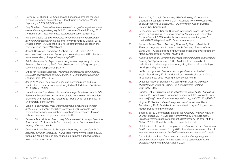- <span id="page-30-1"></span>42. Hawkley LC, Thisted RA, Cacioppo JT. Loneliness predicts reduced physical activity: Cross-sectional & longtitudinal Analyses. *Health Psychology*. 2009; 28(3):354–363.
- <span id="page-30-2"></span>43. Daly S, Allen J. *Inequalities in mental health, cognitive impairment and dementia amongst older people*. UCL Institute of Health Equity; 2016. Available from: [http://cdn.basw.co.uk/upload/basw\\_53658-8.pdf](http://cdn.basw.co.uk/upload/basw_53658-8.pdf)
- <span id="page-30-0"></span>44. Handley S et al. *The best medicine? The importance of relationships for health and wellbeing*. Relate and New Philanthropy Capital; 2015. Available from: www.relate.org.uk/sites/default/files/publication-thebest-medicine-report-240315.pdf
- <span id="page-30-8"></span>45. Joseph Rowntree Foundation Analysis Unit. *UK Poverty 2017: a comprehensive analysis of poverty trends and figures*. 2017. Available from: [www.jrf.org.uk/report/uk-poverty-2017](http://www.jrf.org.uk/report/uk-poverty-2017)
- <span id="page-30-9"></span>46. Fell B, Hewstone M. *Psychological perspectives on poverty*. Joseph Rowntree Foundation; 2015. Available from: [www.jrf.org.uk/report/](http://www.jrf.org.uk/report/psychological-perspectives-poverty) [psychological-perspectives-poverty](http://www.jrf.org.uk/report/psychological-perspectives-poverty)
- <span id="page-30-10"></span>47. Office for National Statistics. *Proportion of employees earning below £8.75 per hour working outside London, £10.20 per hour working in London: April 2017*. 2017.
- <span id="page-30-11"></span>48. Jones NRV et al. The growing price gap between more and less healthy foods: analysis of a novel longitudinal UK dataset. *PLOS One*. 2014;9(10):e109343.
- <span id="page-30-12"></span>49. United Nations Foundation. *Sustainable energy for all a priority for UN Secretary-General's second term*. Available from: [www.unfoundation.](http://www.unfoundation.org/news-and-media/press-releases/2011/energy-for-all-a-priority-for-un-secretary-general.html) [org/news-and-media/press-releases/2011/energy-for-all-a-priority-for](http://www.unfoundation.org/news-and-media/press-releases/2011/energy-for-all-a-priority-for-un-secretary-general.html)[un-secretary-general.html](http://www.unfoundation.org/news-and-media/press-releases/2011/energy-for-all-a-priority-for-un-secretary-general.html)
- <span id="page-30-3"></span>50. Lane J. *A debt effect? How is unmanageable debt related to other problems in people's lives?* Citizens Advice; 2016. Available from: [www.citizensadvice.org.uk/about-us/policy/policy-research-topics/](www.citizensadvice.org.uk/about-us/policy/policy-research-topics/debt-and-money-policy-research/a-debt-effect) [debt-and-money-policy-research/a-debt-effect](www.citizensadvice.org.uk/about-us/policy/policy-research-topics/debt-and-money-policy-research/a-debt-effect)
- <span id="page-30-4"></span>51. Benzeval M et al. *How does money influence health?* Joseph Rowntree Foundation; 2014. Available from: [www.jrf.org.uk/report/how-does](http://www.jrf.org.uk/report/how-does-money-influence-health)[money-influence-health](http://www.jrf.org.uk/report/how-does-money-influence-health)
- <span id="page-30-5"></span>52. Centre for Local Economic Strategies. *Updating the spend analysis baseline: summary report*. 2017. Available from: [www.preston.gov.uk/](http://www.preston.gov.uk/thecouncil/about-preston-city-council/our-fairness-agenda/progress-towards-fairness-charter) [thecouncil/about-preston-city-council/our-fairness-agenda/progress](http://www.preston.gov.uk/thecouncil/about-preston-city-council/our-fairness-agenda/progress-towards-fairness-charter)[towards-fairness-charter](http://www.preston.gov.uk/thecouncil/about-preston-city-council/our-fairness-agenda/progress-towards-fairness-charter)
- <span id="page-30-6"></span>53. Preston City Council. *Community Wealth Building*. Co-operative Councils Innovation Network; 2017. Available from: [www.councils.](http://www.councils.coop/wp-content/uploads/2017/10/Community-Wealth-Building-Preston-City-Council.pdf) [coop/wp-content/uploads/2017/10/Community-Wealth-Building-](http://www.councils.coop/wp-content/uploads/2017/10/Community-Wealth-Building-Preston-City-Council.pdf)[Preston-City-Council.pdf](http://www.councils.coop/wp-content/uploads/2017/10/Community-Wealth-Building-Preston-City-Council.pdf)
- <span id="page-30-7"></span>54. Lancashire County Council Business Intelligence Team. *The English indices of deprivation 2015, local authority level analysis*. Lancashire County Council; 2015. Available from: [www.lancashire.gov.uk/](http://www.lancashire.gov.uk/media/898623/deprivation-2015-la-summaries.pdf) [media/898623/deprivation-2015-la-summaries.pdf](http://www.lancashire.gov.uk/media/898623/deprivation-2015-la-summaries.pdf)
- <span id="page-30-13"></span>55. Marmot Review Team (Geddes I, Bloomer E, Allen J, Goldblatt P). *The health impacts of cold homes and fuel poverty*. Friends of the Earth; 2011. Available from: [https://friendsoftheearth.uk/sites/default/](https://friendsoftheearth.uk/sites/default/files/downloads/cold_homes_health.pdf) [files/downloads/cold\\_homes\\_health.pdf](https://friendsoftheearth.uk/sites/default/files/downloads/cold_homes_health.pdf)
- <span id="page-30-14"></span>56. Audit Commission. *Building better lives: getting the best from strategic housing (local government)*. 2009. Available from: [www.bl.uk/](http://www.bl.uk/collection-items/building-better-lives-getting-the-best-from-strategic-housing-local-government) [collection-items/building-better-lives-getting-the-best-from-strategic](http://www.bl.uk/collection-items/building-better-lives-getting-the-best-from-strategic-housing-local-government)[housing-local-government](http://www.bl.uk/collection-items/building-better-lives-getting-the-best-from-strategic-housing-local-government)
- <span id="page-30-15"></span>57. de Sa J. *Infographic: how does housing influence our health?* Health Foundation; 2017. Available from: [www.health.org.uk/blog/](http://www.health.org.uk/blog/infographic-how-does-housing-influence-our-health) [infographic-how-does-housing-influence-our-health](http://www.health.org.uk/blog/infographic-how-does-housing-influence-our-health)
- <span id="page-30-17"></span>58. Office for National Statistics. *An overview of lifestyles and wider characteristics linked to Healthy Life Expectancy in England: June 2017*. 2017.
- <span id="page-30-18"></span>59. Egerter S et al. *Exploring the social determinants of health: Education and health*. Robert Wood Johnson Foundation; 2011. Available from: [www.rwjf.org/content/dam/farm/reports/issue\\_briefs/2011/rwjf70447](http://www.rwjf.org/content/dam/farm/reports/issue_briefs/2011/rwjf70447)
- <span id="page-30-19"></span>60. Hughes D. *Teachers: the hidden public health workforce*. Health Foundation; 2017. Available from: [www.health.org.uk/blog/teachers](http://www.health.org.uk/blog/teachers-hidden-public-health-workforce)[hidden-public-health-workforce](http://www.health.org.uk/blog/teachers-hidden-public-health-workforce)
- <span id="page-30-16"></span>61. Social Mobility Commission. *State of the nation 2017: social mobility in Great Britain*. 2017. Available from: [www.gov.uk/government/](http://www.gov.uk/government/uploads/system/uploads/attachment_data/file/662744/State_of_the_Nation_2017_-_Social_Mobility_in_Great_Britain.pdf) uploads/system/uploads/attachment\_data/file/662744/State\_of\_the Nation 2017 - Social Mobility in Great Britain.pdf
- <span id="page-30-20"></span>62. UCL Institute of Education. *Being on a zero-hours contract is bad for your health, new study reveals*. 5 July 2017. Available from: [www.ucl.ac.uk/](http://www.ucl.ac.uk/ioe/news-events/news-pub/jul-2017/zero-hours-contract-bad-for-health) [ioe/news-events/news-pub/jul-2017/zero-hours-contract-bad-for-health](http://www.ucl.ac.uk/ioe/news-events/news-pub/jul-2017/zero-hours-contract-bad-for-health)
- <span id="page-30-21"></span>63. Commission on Social Determinants of Health. *Closing the gap in a generation: health equity through action on the social determinants of health*. World Health Organization; 2008.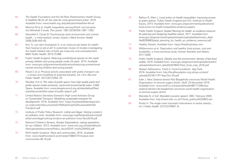- <span id="page-31-3"></span>64. The Health Foundation and the All-Party Parliamentary Health Group. *A healthier life for all: the case for cross-government action*. 2016. Available from: [www.health.org.uk/publication/healthier-life-all](http://www.health.org.uk/publication/healthier-life-all)
- <span id="page-31-0"></span>65. Marmot M et al. Health inequalities among British civil servants: the Whitehall II study. *The Lancet*. 1991;337(8754):1387–1393.
- <span id="page-31-1"></span>66. Stansfeld S, Candy B. Psychosocial work environment and mental health – a meta-analytic review. *Scand J Work Environ Health*. 2006;32(6):443–62.
- <span id="page-31-2"></span>67. Kim TJ, von dem Knesebeck O. Is an insecure job better for health than having no job at all? A systematic review of studies investigating the health-related risks of both job insecurity and unemployment. *BMC Public Health*. 2015;15:985
- <span id="page-31-5"></span>68. Public Health England. *Reducing unintentional injuries on the roads among children and young people under 25 years*. 2014. Available from: [www.gov.uk/government/publications/reducing-unintentional](http://www.gov.uk/government/publications/reducing-unintentional-injuries-among-children-and-young-people)[injuries-among-children-and-young-people](http://www.gov.uk/government/publications/reducing-unintentional-injuries-among-children-and-young-people)
- <span id="page-31-6"></span>69. Rissel C et al. Physical activity associated with public transport use – a review and modelling of potential benefits. *Int J Env Res and Public Health*. 2012;9(7):2454–78.
- <span id="page-31-7"></span>70. Woolley H et al. *The value of public space: how high quality parks and public spaces create economic, social and environmental value*. CABE Space. Available from: [www.designcouncil.org.uk/sites/default/files/](http://www.designcouncil.org.uk/sites/default/files/asset/document/the-value-of-public-space1.pdf ) [asset/document/the-value-of-public-space1.pdf](http://www.designcouncil.org.uk/sites/default/files/asset/document/the-value-of-public-space1.pdf )
- <span id="page-31-8"></span>71. United Nations Secretary-General's High-Level Advisory Group on Sustainable Transport. *Mobilizing sustainable transport for development*. 2016. Available from: [https://sustainabledevelopment.](https://sustainabledevelopment.un.org/content/documents/2375Mobilizing%20Sustainable%20Transport.pdf) [un.org/content/documents/2375Mobilizing%20Sustainable%20](https://sustainabledevelopment.un.org/content/documents/2375Mobilizing%20Sustainable%20Transport.pdf) [Transport.pdf](https://sustainabledevelopment.un.org/content/documents/2375Mobilizing%20Sustainable%20Transport.pdf)
- <span id="page-31-4"></span>72. Institute of Public Policy Research. *Lethal and illegal. Solving London's air pollution crisis*. Available from: [www.ippr.org/files/publications/pdf/](http://www.ippr.org/files/publications/pdf/lethal-and-illegal-solving-londons-air-pollution-crisis-Nov2016.pdf) [lethal-and-illegal-solving-londons-air-pollution-crisis-Nov2016.pdf](http://www.ippr.org/files/publications/pdf/lethal-and-illegal-solving-londons-air-pollution-crisis-Nov2016.pdf)
- <span id="page-31-9"></span>73. National Children's Bureau. *Greater Expectations: raising aspirations for our children*. 2013. Available from: [www.ncb.org.uk/sites/default/](http://www.ncb.org.uk/sites/default/files/uploads/documents/Policy_docs/GEXP_final%20WEB.pdf) [files/uploads/documents/Policy\\_docs/GEXP\\_final%20WEB.pdf](http://www.ncb.org.uk/sites/default/files/uploads/documents/Policy_docs/GEXP_final%20WEB.pdf)
- <span id="page-31-10"></span>74. NHS Health Scotland. *Place and communities*. 2016. Available from: [www.healthscotland.scot/media/1088/27414-place-and](http://www.healthscotland.scot/media/1088/27414-place-and-communties-06-16.pdf)[communties-06-16.pdf](http://www.healthscotland.scot/media/1088/27414-place-and-communties-06-16.pdf)
- <span id="page-31-11"></span>75. Balfour R, Allen J. *Local action on health inequalities: improving access to green spaces*. Public Health England and UCL Institute of Health Equity; 2014. Available from: [www.gov.uk/government/publications/](http://www.gov.uk/government/publications/local-action-on-health-inequalities-evidence-papers) [local-action-on-health-inequalities-evidence-papers](http://www.gov.uk/government/publications/local-action-on-health-inequalities-evidence-papers)
- <span id="page-31-12"></span>76. Public Health England. *Spatial Planning for health: an evidence resource for planning and designing healthier places*. 2017. Available from: [www.gov.uk/government/uploads/system/uploads/attachment\\_data/](http://www.gov.uk/government/uploads/system/uploads/attachment_data/file/625568/Spatial_planning_for_health_an_evidence_resource.pdf) [file/625568/Spatial\\_planning\\_for\\_health\\_an\\_evidence\\_resource.pdf](http://www.gov.uk/government/uploads/system/uploads/attachment_data/file/625568/Spatial_planning_for_health_an_evidence_resource.pdf)
- <span id="page-31-13"></span>77. Healthy Streets. Available from: https://healthystreets.com
- <span id="page-31-14"></span>78. Williamsomn et al. Deprivation and healthy food access, cost and availability: a cross-sectional study. *Human Nutrition and Dietics*. 2017:30(6)
- <span id="page-31-15"></span>79. Public Health England. *Obesity and the environment: density of fast food outlets*. 2016. Available from: [www.gov.uk/government/uploads/system/](http://www.gov.uk/government/uploads/system/uploads/attachment_data/file/578041/Fast_food_map_2016.pdf) [uploads/attachment\\_data/file/578041/Fast\\_food\\_map\\_2016.pdf](http://www.gov.uk/government/uploads/system/uploads/attachment_data/file/578041/Fast_food_map_2016.pdf)
- <span id="page-31-16"></span>80. Nielsen AdDynamix. Cited in: Food Foundation. *Veg Facts*. 2016. Available from: [http://foodfoundation.org.uk/wp-content/](http://foodfoundation.org.uk/wp-content/uploads/2016/11/FF-Veg-Doc-V5.pdf
) [uploads/2016/11/FF-Veg-Doc-V5.pdf](http://foodfoundation.org.uk/wp-content/uploads/2016/11/FF-Veg-Doc-V5.pdf
)
- <span id="page-31-17"></span>81. Eder J. New Zealand dentist Rob Beaglehole convinces World Health Organisation to remove sugary drinks. *Stuff*; 23 November 2016. Available from: [www.stuff.co.nz/national/health/86717246/new](http://www.stuff.co.nz/national/health/86717246/new-zealand-dentist-rob-beaglehole-convinces-world-health-organisation-to-remove-sugary-drinks)[zealand-dentist-rob-beaglehole-convinces-world-health-organisation](http://www.stuff.co.nz/national/health/86717246/new-zealand-dentist-rob-beaglehole-convinces-world-health-organisation-to-remove-sugary-drinks)[to-remove-sugary-drinks](http://www.stuff.co.nz/national/health/86717246/new-zealand-dentist-rob-beaglehole-convinces-world-health-organisation-to-remove-sugary-drinks)
- <span id="page-31-18"></span>82. Mandela N. *In full: Mandela's poverty speech*. BBC; February 2005. Available from: [http://news.bbc.co.uk/1/hi/uk\\_politics/4232603.stm](http://news.bbc.co.uk/1/hi/uk_politics/4232603.stm)
- <span id="page-31-19"></span>83. Rutter H. The single most important intervention to tackle obesity... *Int J Public Health*. 2012;57(4)657–8.